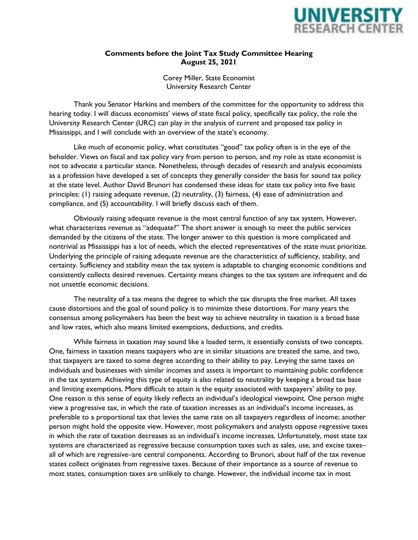

## **Comments before the Joint Tax Study Committee Hearing August 25, 2021**

Corey Miller, State Economist University Research Center

Thank you Senator Harkins and members of the committee for the opportunity to address this hearing today. I will discuss economists' views of state fiscal policy, specifically tax policy, the role the University Research Center (URC) can play in the analysis of current and proposed tax policy in Mississippi, and I will conclude with an overview of the state's economy.

Like much of economic policy, what constitutes "good" tax policy often is in the eye of the beholder. Views on fiscal and tax policy vary from person to person, and my role as state economist is not to advocate a particular stance. Nonetheless, through decades of research and analysis economists as a profession have developed a set of concepts they generally consider the basis for sound tax policy at the state level. Author David Brunori has condensed these ideas for state tax policy into five basic principles: (1) raising adequate revenue, (2) neutrality, (3) fairness, (4) ease of administration and compliance, and (5) accountability. I will briefly discuss each of them.

Obviously raising adequate revenue is the most central function of any tax system. However, what characterizes revenue as "adequate?" The short answer is enough to meet the public services demanded by the citizens of the state. The longer answer to this question is more complicated and nontrivial as Mississippi has a lot of needs, which the elected representatives of the state must prioritize. Underlying the principle of raising adequate revenue are the characteristics of sufficiency, stability, and certainty. Sufficiency and stability mean the tax system is adaptable to changing economic conditions and consistently collects desired revenues. Certainty means changes to the tax system are infrequent and do not unsettle economic decisions.

The neutrality of a tax means the degree to which the tax disrupts the free market. All taxes cause distortions and the goal of sound policy is to minimize these distortions. For many years the consensus among policymakers has been the best way to achieve neutrality in taxation is a broad base and low rates, which also means limited exemptions, deductions, and credits.

While fairness in taxation may sound like a loaded term, it essentially consists of two concepts. One, fairness in taxation means taxpayers who are in similar situations are treated the same, and two, that taxpayers are taxed to some degree according to their ability to pay. Levying the same taxes on individuals and businesses with similar incomes and assets is important to maintaining public confidence in the tax system. Achieving this type of equity is also related to neutrality by keeping a broad tax base and limiting exemptions. More difficult to attain is the equity associated with taxpayers' ability to pay. One reason is this sense of equity likely reflects an individual's ideological viewpoint. One person might view a progressive tax, in which the rate of taxation increases as an individual's income increases, as preferable to a proportional tax that levies the same rate on all taxpayers regardless of income; another person might hold the opposite view. However, most policymakers and analysts oppose regressive taxes in which the rate of taxation decreases as an individual's income increases. Unfortunately, most state tax systems are characterized as regressive because consumption taxes such as sales, use, and excise taxes– all of which are regressive–are central components. According to Brunori, about half of the tax revenue states collect originates from regressive taxes. Because of their importance as a source of revenue to most states, consumption taxes are unlikely to change. However, the individual income tax in most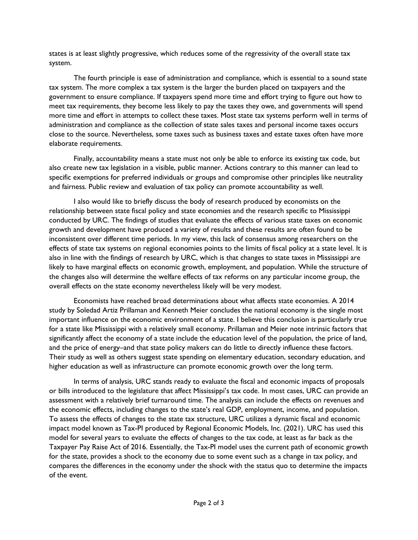states is at least slightly progressive, which reduces some of the regressivity of the overall state tax system.

The fourth principle is ease of administration and compliance, which is essential to a sound state tax system. The more complex a tax system is the larger the burden placed on taxpayers and the government to ensure compliance. If taxpayers spend more time and effort trying to figure out how to meet tax requirements, they become less likely to pay the taxes they owe, and governments will spend more time and effort in attempts to collect these taxes. Most state tax systems perform well in terms of administration and compliance as the collection of state sales taxes and personal income taxes occurs close to the source. Nevertheless, some taxes such as business taxes and estate taxes often have more elaborate requirements.

Finally, accountability means a state must not only be able to enforce its existing tax code, but also create new tax legislation in a visible, public manner. Actions contrary to this manner can lead to specific exemptions for preferred individuals or groups and compromise other principles like neutrality and fairness. Public review and evaluation of tax policy can promote accountability as well.

I also would like to briefly discuss the body of research produced by economists on the relationship between state fiscal policy and state economies and the research specific to Mississippi conducted by URC. The findings of studies that evaluate the effects of various state taxes on economic growth and development have produced a variety of results and these results are often found to be inconsistent over different time periods. In my view, this lack of consensus among researchers on the effects of state tax systems on regional economies points to the limits of fiscal policy at a state level. It is also in line with the findings of research by URC, which is that changes to state taxes in Mississippi are likely to have marginal effects on economic growth, employment, and population. While the structure of the changes also will determine the welfare effects of tax reforms on any particular income group, the overall effects on the state economy nevertheless likely will be very modest.

Economists have reached broad determinations about what affects state economies. A 2014 study by Soledad Artiz Prillaman and Kenneth Meier concludes the national economy is the single most important influence on the economic environment of a state. I believe this conclusion is particularly true for a state like Mississippi with a relatively small economy. Prillaman and Meier note intrinsic factors that significantly affect the economy of a state include the education level of the population, the price of land, and the price of energy–and that state policy makers can do little to directly influence these factors. Their study as well as others suggest state spending on elementary education, secondary education, and higher education as well as infrastructure can promote economic growth over the long term.

In terms of analysis, URC stands ready to evaluate the fiscal and economic impacts of proposals or bills introduced to the legislature that affect Mississippi's tax code. In most cases, URC can provide an assessment with a relatively brief turnaround time. The analysis can include the effects on revenues and the economic effects, including changes to the state's real GDP, employment, income, and population. To assess the effects of changes to the state tax structure, URC utilizes a dynamic fiscal and economic impact model known as Tax-PI produced by Regional Economic Models, Inc. (2021). URC has used this model for several years to evaluate the effects of changes to the tax code, at least as far back as the Taxpayer Pay Raise Act of 2016. Essentially, the Tax-PI model uses the current path of economic growth for the state, provides a shock to the economy due to some event such as a change in tax policy, and compares the differences in the economy under the shock with the status quo to determine the impacts of the event.